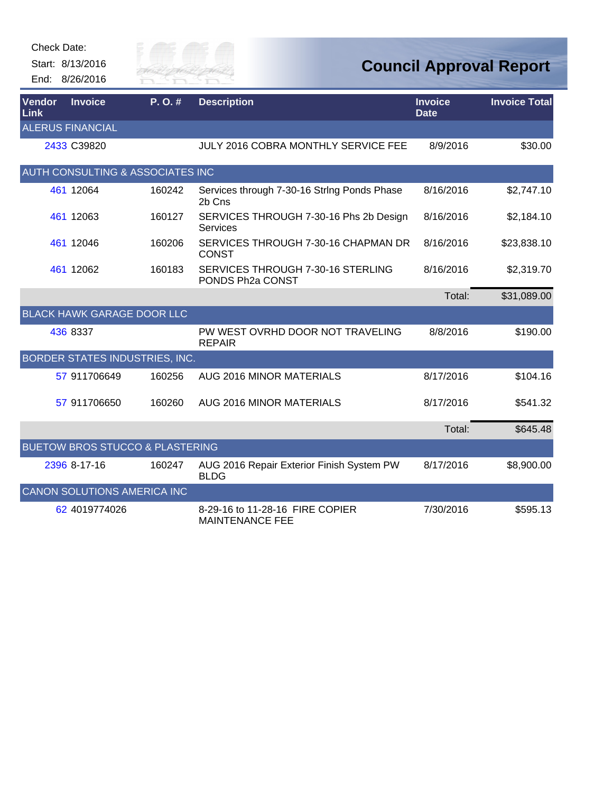Check Date:

Start: 8/13/2016 End: 8/26/2016



## **Council Approval Report**

| <b>Vendor</b><br><b>Link</b> | <b>Invoice</b>                             | P.O.#  | <b>Description</b>                                        | <b>Invoice</b><br><b>Date</b> | <b>Invoice Total</b> |
|------------------------------|--------------------------------------------|--------|-----------------------------------------------------------|-------------------------------|----------------------|
|                              | <b>ALERUS FINANCIAL</b>                    |        |                                                           |                               |                      |
|                              | 2433 C39820                                |        | JULY 2016 COBRA MONTHLY SERVICE FEE                       | 8/9/2016                      | \$30.00              |
|                              | AUTH CONSULTING & ASSOCIATES INC           |        |                                                           |                               |                      |
|                              | 461 12064                                  | 160242 | Services through 7-30-16 String Ponds Phase<br>2b Cns     | 8/16/2016                     | \$2,747.10           |
|                              | 461 12063                                  | 160127 | SERVICES THROUGH 7-30-16 Phs 2b Design<br>Services        | 8/16/2016                     | \$2,184.10           |
|                              | 461 12046                                  | 160206 | SERVICES THROUGH 7-30-16 CHAPMAN DR<br><b>CONST</b>       | 8/16/2016                     | \$23,838.10          |
|                              | 461 12062                                  | 160183 | SERVICES THROUGH 7-30-16 STERLING<br>PONDS Ph2a CONST     | 8/16/2016                     | \$2,319.70           |
|                              |                                            |        |                                                           | Total:                        | \$31,089.00          |
|                              | <b>BLACK HAWK GARAGE DOOR LLC</b>          |        |                                                           |                               |                      |
|                              | 436 8337                                   |        | PW WEST OVRHD DOOR NOT TRAVELING<br><b>REPAIR</b>         | 8/8/2016                      | \$190.00             |
|                              | BORDER STATES INDUSTRIES, INC.             |        |                                                           |                               |                      |
|                              | 57 911706649                               | 160256 | AUG 2016 MINOR MATERIALS                                  | 8/17/2016                     | \$104.16             |
|                              | 57 911706650                               | 160260 | AUG 2016 MINOR MATERIALS                                  | 8/17/2016                     | \$541.32             |
|                              |                                            |        |                                                           | Total:                        | \$645.48             |
|                              | <b>BUETOW BROS STUCCO &amp; PLASTERING</b> |        |                                                           |                               |                      |
|                              | 2396 8-17-16                               | 160247 | AUG 2016 Repair Exterior Finish System PW<br><b>BLDG</b>  | 8/17/2016                     | \$8,900.00           |
|                              | CANON SOLUTIONS AMERICA INC                |        |                                                           |                               |                      |
|                              | 62 4019774026                              |        | 8-29-16 to 11-28-16 FIRE COPIER<br><b>MAINTENANCE FEE</b> | 7/30/2016                     | \$595.13             |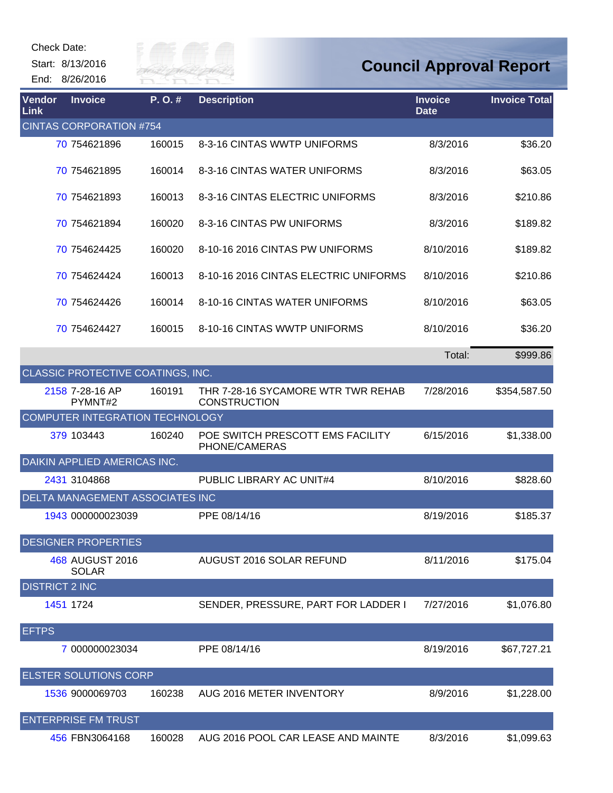Start: 8/13/2016

End: 8/26/2016



| Vendor<br><b>Link</b> | <b>Invoice</b>                    | P.O.#  | <b>Description</b>                                        | <b>Invoice</b><br><b>Date</b> | <b>Invoice Total</b> |
|-----------------------|-----------------------------------|--------|-----------------------------------------------------------|-------------------------------|----------------------|
|                       | <b>CINTAS CORPORATION #754</b>    |        |                                                           |                               |                      |
|                       | 70 754621896                      | 160015 | 8-3-16 CINTAS WWTP UNIFORMS                               | 8/3/2016                      | \$36.20              |
|                       | 70 754621895                      | 160014 | 8-3-16 CINTAS WATER UNIFORMS                              | 8/3/2016                      | \$63.05              |
|                       | 70 754621893                      | 160013 | 8-3-16 CINTAS ELECTRIC UNIFORMS                           | 8/3/2016                      | \$210.86             |
|                       | 70 754621894                      | 160020 | 8-3-16 CINTAS PW UNIFORMS                                 | 8/3/2016                      | \$189.82             |
|                       | 70 754624425                      | 160020 | 8-10-16 2016 CINTAS PW UNIFORMS                           | 8/10/2016                     | \$189.82             |
|                       | 70 754624424                      | 160013 | 8-10-16 2016 CINTAS ELECTRIC UNIFORMS                     | 8/10/2016                     | \$210.86             |
|                       | 70 754624426                      | 160014 | 8-10-16 CINTAS WATER UNIFORMS                             | 8/10/2016                     | \$63.05              |
|                       | 70 754624427                      | 160015 | 8-10-16 CINTAS WWTP UNIFORMS                              | 8/10/2016                     | \$36.20              |
|                       |                                   |        |                                                           | Total:                        | \$999.86             |
|                       | CLASSIC PROTECTIVE COATINGS, INC. |        |                                                           |                               |                      |
|                       | 2158 7-28-16 AP<br>PYMNT#2        | 160191 | THR 7-28-16 SYCAMORE WTR TWR REHAB<br><b>CONSTRUCTION</b> | 7/28/2016                     | \$354,587.50         |
|                       | COMPUTER INTEGRATION TECHNOLOGY   |        |                                                           |                               |                      |
|                       | 379 103443                        | 160240 | POE SWITCH PRESCOTT EMS FACILITY<br>PHONE/CAMERAS         | 6/15/2016                     | \$1,338.00           |
|                       | DAIKIN APPLIED AMERICAS INC.      |        |                                                           |                               |                      |
|                       | 2431 3104868                      |        | PUBLIC LIBRARY AC UNIT#4                                  | 8/10/2016                     | \$828.60             |
|                       | DELTA MANAGEMENT ASSOCIATES INC   |        |                                                           |                               |                      |
|                       | 1943 000000023039                 |        | PPE 08/14/16                                              | 8/19/2016                     | \$185.37             |
|                       | <b>DESIGNER PROPERTIES</b>        |        |                                                           |                               |                      |
|                       | 468 AUGUST 2016<br><b>SOLAR</b>   |        | AUGUST 2016 SOLAR REFUND                                  | 8/11/2016                     | \$175.04             |
| <b>DISTRICT 2 INC</b> |                                   |        |                                                           |                               |                      |
|                       | 1451 1724                         |        | SENDER, PRESSURE, PART FOR LADDER I                       | 7/27/2016                     | \$1,076.80           |
| <b>EFTPS</b>          |                                   |        |                                                           |                               |                      |
|                       | 7 000000023034                    |        | PPE 08/14/16                                              | 8/19/2016                     | \$67,727.21          |
|                       | <b>ELSTER SOLUTIONS CORP</b>      |        |                                                           |                               |                      |
|                       | 1536 9000069703                   | 160238 | AUG 2016 METER INVENTORY                                  | 8/9/2016                      | \$1,228.00           |
|                       | <b>ENTERPRISE FM TRUST</b>        |        |                                                           |                               |                      |
|                       | 456 FBN3064168                    | 160028 | AUG 2016 POOL CAR LEASE AND MAINTE                        | 8/3/2016                      | \$1,099.63           |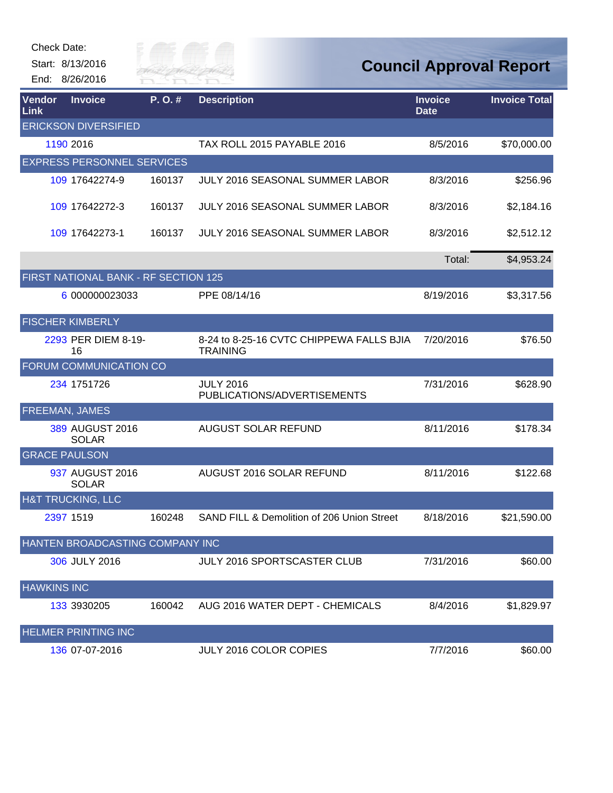| Check Date:        |                                      |           |                                                             |                               |                                |
|--------------------|--------------------------------------|-----------|-------------------------------------------------------------|-------------------------------|--------------------------------|
|                    | Start: 8/13/2016                     | City of   |                                                             |                               | <b>Council Approval Report</b> |
|                    | End: 8/26/2016                       | RIVER FAI |                                                             |                               |                                |
| Vendor<br>Link     | <b>Invoice</b>                       | P.O.#     | <b>Description</b>                                          | <b>Invoice</b><br><b>Date</b> | <b>Invoice Total</b>           |
|                    | <b>ERICKSON DIVERSIFIED</b>          |           |                                                             |                               |                                |
|                    | 1190 2016                            |           | TAX ROLL 2015 PAYABLE 2016                                  | 8/5/2016                      | \$70,000.00                    |
|                    | <b>EXPRESS PERSONNEL SERVICES</b>    |           |                                                             |                               |                                |
|                    | 109 17642274-9                       | 160137    | JULY 2016 SEASONAL SUMMER LABOR                             | 8/3/2016                      | \$256.96                       |
|                    | 109 17642272-3                       | 160137    | <b>JULY 2016 SEASONAL SUMMER LABOR</b>                      | 8/3/2016                      | \$2,184.16                     |
|                    | 109 17642273-1                       | 160137    | <b>JULY 2016 SEASONAL SUMMER LABOR</b>                      | 8/3/2016                      | \$2,512.12                     |
|                    |                                      |           |                                                             | Total:                        | \$4,953.24                     |
|                    | FIRST NATIONAL BANK - RF SECTION 125 |           |                                                             |                               |                                |
|                    | 6 000000023033                       |           | PPE 08/14/16                                                | 8/19/2016                     | \$3,317.56                     |
|                    | <b>FISCHER KIMBERLY</b>              |           |                                                             |                               |                                |
|                    | 2293 PER DIEM 8-19-<br>16            |           | 8-24 to 8-25-16 CVTC CHIPPEWA FALLS BJIA<br><b>TRAINING</b> | 7/20/2016                     | \$76.50                        |
|                    | FORUM COMMUNICATION CO               |           |                                                             |                               |                                |
|                    | 234 1751726                          |           | <b>JULY 2016</b><br>PUBLICATIONS/ADVERTISEMENTS             | 7/31/2016                     | \$628.90                       |
|                    | FREEMAN, JAMES                       |           |                                                             |                               |                                |
|                    | 389 AUGUST 2016<br><b>SOLAR</b>      |           | <b>AUGUST SOLAR REFUND</b>                                  | 8/11/2016                     | \$178.34                       |
|                    | <b>GRACE PAULSON</b>                 |           |                                                             |                               |                                |
|                    | 937 AUGUST 2016<br><b>SOLAR</b>      |           | AUGUST 2016 SOLAR REFUND                                    | 8/11/2016                     | \$122.68                       |
|                    | H&T TRUCKING, LLC                    |           |                                                             |                               |                                |
|                    | 2397 1519                            | 160248    | SAND FILL & Demolition of 206 Union Street                  | 8/18/2016                     | \$21,590.00                    |
|                    | HANTEN BROADCASTING COMPANY INC      |           |                                                             |                               |                                |
|                    | 306 JULY 2016                        |           | JULY 2016 SPORTSCASTER CLUB                                 | 7/31/2016                     | \$60.00                        |
| <b>HAWKINS INC</b> |                                      |           |                                                             |                               |                                |
|                    | 133 3930205                          | 160042    | AUG 2016 WATER DEPT - CHEMICALS                             | 8/4/2016                      | \$1,829.97                     |
|                    | <b>HELMER PRINTING INC</b>           |           |                                                             |                               |                                |
|                    | 136 07-07-2016                       |           | JULY 2016 COLOR COPIES                                      | 7/7/2016                      | \$60.00                        |

**ANTIFICIAL**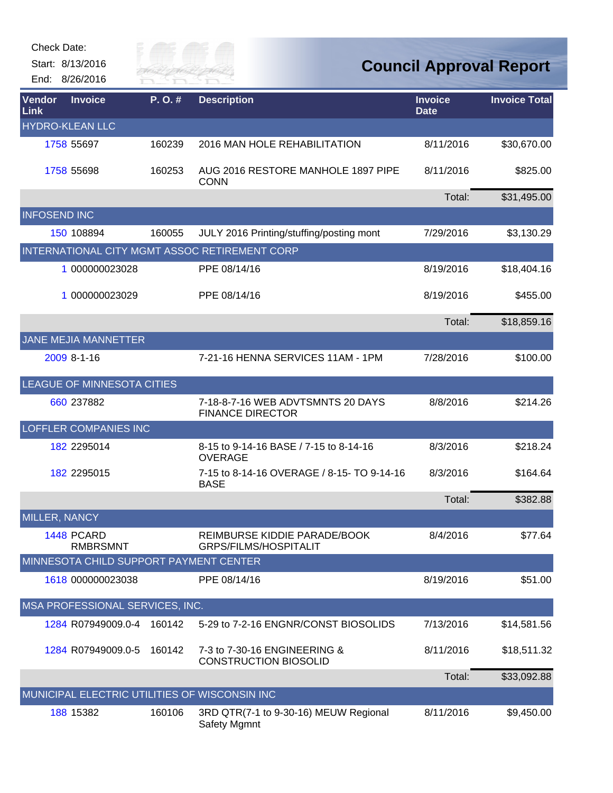| <b>Check Date:</b>  | Start: 8/13/2016                       | City of<br>River Fai |                                                              |                               | <b>Council Approval Report</b> |
|---------------------|----------------------------------------|----------------------|--------------------------------------------------------------|-------------------------------|--------------------------------|
| Vendor<br>Link      | End: 8/26/2016<br><b>Invoice</b>       | P.O.#                | <b>Description</b>                                           | <b>Invoice</b><br><b>Date</b> | <b>Invoice Total</b>           |
|                     | <b>HYDRO-KLEAN LLC</b>                 |                      |                                                              |                               |                                |
|                     | 1758 55697                             | 160239               | 2016 MAN HOLE REHABILITATION                                 | 8/11/2016                     | \$30,670.00                    |
|                     | 1758 55698                             | 160253               | AUG 2016 RESTORE MANHOLE 1897 PIPE<br><b>CONN</b>            | 8/11/2016                     | \$825.00                       |
|                     |                                        |                      |                                                              | Total:                        | \$31,495.00                    |
| <b>INFOSEND INC</b> |                                        |                      |                                                              |                               |                                |
|                     | 150 108894                             | 160055               | JULY 2016 Printing/stuffing/posting mont                     | 7/29/2016                     | \$3,130.29                     |
|                     |                                        |                      | INTERNATIONAL CITY MGMT ASSOC RETIREMENT CORP                |                               |                                |
|                     | 1 000000023028                         |                      | PPE 08/14/16                                                 | 8/19/2016                     | \$18,404.16                    |
|                     | 1 000000023029                         |                      | PPE 08/14/16                                                 | 8/19/2016                     | \$455.00                       |
|                     |                                        |                      |                                                              | Total:                        | \$18,859.16                    |
|                     | JANE MEJIA MANNETTER                   |                      |                                                              |                               |                                |
|                     | 2009 8-1-16                            |                      | 7-21-16 HENNA SERVICES 11AM - 1PM                            | 7/28/2016                     | \$100.00                       |
|                     | LEAGUE OF MINNESOTA CITIES             |                      |                                                              |                               |                                |
|                     | 660 237882                             |                      | 7-18-8-7-16 WEB ADVTSMNTS 20 DAYS<br><b>FINANCE DIRECTOR</b> | 8/8/2016                      | \$214.26                       |
|                     | <b>LOFFLER COMPANIES INC</b>           |                      |                                                              |                               |                                |
|                     | 182 2295014                            |                      | 8-15 to 9-14-16 BASE / 7-15 to 8-14-16<br><b>OVERAGE</b>     | 8/3/2016                      | \$218.24                       |
|                     | 182 2295015                            |                      | 7-15 to 8-14-16 OVERAGE / 8-15- TO 9-14-16<br><b>BASE</b>    | 8/3/2016                      | \$164.64                       |
|                     |                                        |                      |                                                              | Total:                        | \$382.88                       |
|                     | <b>MILLER, NANCY</b>                   |                      |                                                              |                               |                                |
|                     | 1448 PCARD<br><b>RMBRSMNT</b>          |                      | REIMBURSE KIDDIE PARADE/BOOK<br>GRPS/FILMS/HOSPITALIT        | 8/4/2016                      | \$77.64                        |
|                     | MINNESOTA CHILD SUPPORT PAYMENT CENTER |                      |                                                              |                               |                                |
|                     | 1618 000000023038                      |                      | PPE 08/14/16                                                 | 8/19/2016                     | \$51.00                        |
|                     | MSA PROFESSIONAL SERVICES, INC.        |                      |                                                              |                               |                                |
|                     | 1284 R07949009.0-4                     | 160142               | 5-29 to 7-2-16 ENGNR/CONST BIOSOLIDS                         | 7/13/2016                     | \$14,581.56                    |
|                     | 1284 R07949009.0-5                     | 160142               | 7-3 to 7-30-16 ENGINEERING &<br><b>CONSTRUCTION BIOSOLID</b> | 8/11/2016                     | \$18,511.32                    |
|                     |                                        |                      |                                                              | Total:                        | \$33,092.88                    |
|                     |                                        |                      | MUNICIPAL ELECTRIC UTILITIES OF WISCONSIN INC                |                               |                                |
|                     | 188 15382                              | 160106               | 3RD QTR(7-1 to 9-30-16) MEUW Regional<br>Safety Mgmnt        | 8/11/2016                     | \$9,450.00                     |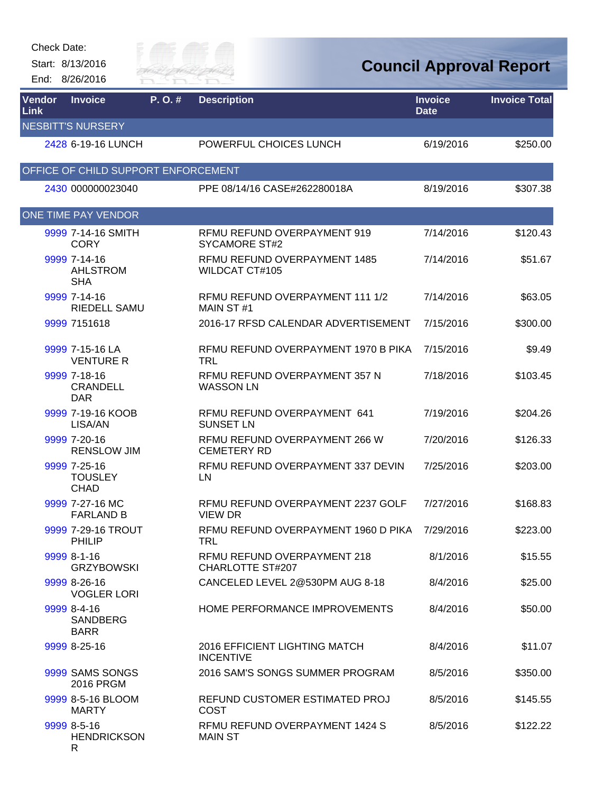## Check Date:

Start: 8/13/2016 End: 8/26/2016



## **Council Approval Report**

| <b>Vendor</b><br><b>Link</b> | <b>Invoice</b>                                | P. O. # | <b>Description</b>                                       | <b>Invoice</b><br><b>Date</b> | <b>Invoice Total</b> |
|------------------------------|-----------------------------------------------|---------|----------------------------------------------------------|-------------------------------|----------------------|
|                              | <b>NESBITT'S NURSERY</b>                      |         |                                                          |                               |                      |
|                              | 2428 6-19-16 LUNCH                            |         | POWERFUL CHOICES LUNCH                                   | 6/19/2016                     | \$250.00             |
|                              | OFFICE OF CHILD SUPPORT ENFORCEMENT           |         |                                                          |                               |                      |
|                              | 2430 000000023040                             |         | PPE 08/14/16 CASE#262280018A                             | 8/19/2016                     | \$307.38             |
|                              | ONE TIME PAY VENDOR                           |         |                                                          |                               |                      |
|                              | 9999 7-14-16 SMITH<br><b>CORY</b>             |         | RFMU REFUND OVERPAYMENT 919<br><b>SYCAMORE ST#2</b>      | 7/14/2016                     | \$120.43             |
|                              | 9999 7-14-16<br><b>AHLSTROM</b><br><b>SHA</b> |         | RFMU REFUND OVERPAYMENT 1485<br><b>WILDCAT CT#105</b>    | 7/14/2016                     | \$51.67              |
|                              | 9999 7-14-16<br>RIEDELL SAMU                  |         | RFMU REFUND OVERPAYMENT 111 1/2<br>MAIN ST#1             | 7/14/2016                     | \$63.05              |
|                              | 9999 7151618                                  |         | 2016-17 RFSD CALENDAR ADVERTISEMENT                      | 7/15/2016                     | \$300.00             |
|                              | 9999 7-15-16 LA<br><b>VENTURE R</b>           |         | RFMU REFUND OVERPAYMENT 1970 B PIKA<br>TRL               | 7/15/2016                     | \$9.49               |
|                              | 9999 7-18-16<br><b>CRANDELL</b><br><b>DAR</b> |         | RFMU REFUND OVERPAYMENT 357 N<br><b>WASSON LN</b>        | 7/18/2016                     | \$103.45             |
|                              | 9999 7-19-16 KOOB<br>LISA/AN                  |         | RFMU REFUND OVERPAYMENT 641<br><b>SUNSET LN</b>          | 7/19/2016                     | \$204.26             |
|                              | 9999 7-20-16<br><b>RENSLOW JIM</b>            |         | RFMU REFUND OVERPAYMENT 266 W<br><b>CEMETERY RD</b>      | 7/20/2016                     | \$126.33             |
|                              | 9999 7-25-16<br><b>TOUSLEY</b><br><b>CHAD</b> |         | RFMU REFUND OVERPAYMENT 337 DEVIN<br>LN                  | 7/25/2016                     | \$203.00             |
|                              | 9999 7-27-16 MC<br><b>FARLAND B</b>           |         | RFMU REFUND OVERPAYMENT 2237 GOLF<br><b>VIEW DR</b>      | 7/27/2016                     | \$168.83             |
|                              | 9999 7-29-16 TROUT<br>PHILIP                  |         | RFMU REFUND OVERPAYMENT 1960 D PIKA<br>TRL               | 7/29/2016                     | \$223.00             |
|                              | 9999 8-1-16<br><b>GRZYBOWSKI</b>              |         | RFMU REFUND OVERPAYMENT 218<br><b>CHARLOTTE ST#207</b>   | 8/1/2016                      | \$15.55              |
|                              | 9999 8-26-16<br><b>VOGLER LORI</b>            |         | CANCELED LEVEL 2@530PM AUG 8-18                          | 8/4/2016                      | \$25.00              |
|                              | 9999 8-4-16<br><b>SANDBERG</b><br><b>BARR</b> |         | HOME PERFORMANCE IMPROVEMENTS                            | 8/4/2016                      | \$50.00              |
|                              | 9999 8-25-16                                  |         | <b>2016 EFFICIENT LIGHTING MATCH</b><br><b>INCENTIVE</b> | 8/4/2016                      | \$11.07              |
|                              | 9999 SAMS SONGS<br><b>2016 PRGM</b>           |         | 2016 SAM'S SONGS SUMMER PROGRAM                          | 8/5/2016                      | \$350.00             |
|                              | 9999 8-5-16 BLOOM<br><b>MARTY</b>             |         | REFUND CUSTOMER ESTIMATED PROJ<br><b>COST</b>            | 8/5/2016                      | \$145.55             |
|                              | 9999 8-5-16<br><b>HENDRICKSON</b><br>R        |         | RFMU REFUND OVERPAYMENT 1424 S<br><b>MAIN ST</b>         | 8/5/2016                      | \$122.22             |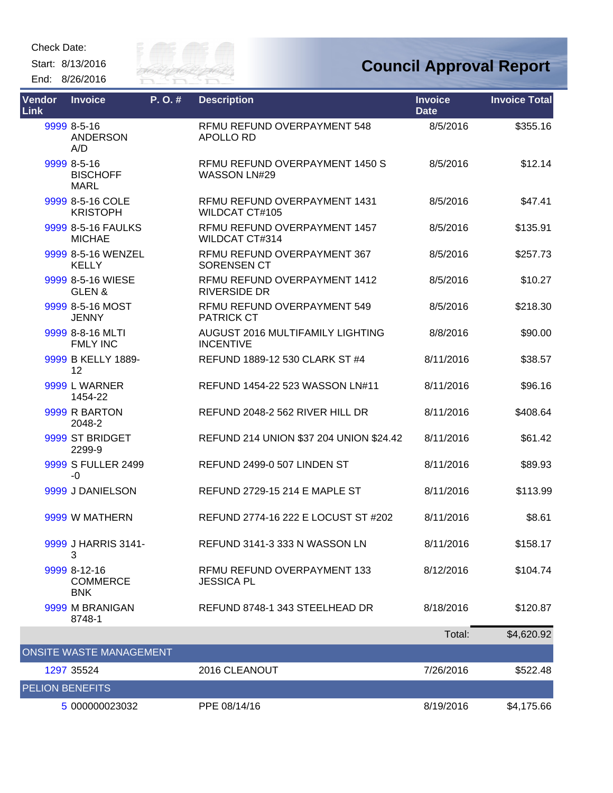Check Date:

Start: 8/13/2016





| Vendor<br>Link         | <b>Invoice</b>                                | P.O.# | <b>Description</b>                                          | <b>Invoice</b><br><b>Date</b> | <b>Invoice Total</b> |
|------------------------|-----------------------------------------------|-------|-------------------------------------------------------------|-------------------------------|----------------------|
|                        | 9999 8-5-16<br><b>ANDERSON</b><br>A/D         |       | RFMU REFUND OVERPAYMENT 548<br>APOLLO RD                    | 8/5/2016                      | \$355.16             |
|                        | 9999 8-5-16<br><b>BISCHOFF</b><br><b>MARL</b> |       | RFMU REFUND OVERPAYMENT 1450 S<br><b>WASSON LN#29</b>       | 8/5/2016                      | \$12.14              |
|                        | 9999 8-5-16 COLE<br><b>KRISTOPH</b>           |       | RFMU REFUND OVERPAYMENT 1431<br>WILDCAT CT#105              | 8/5/2016                      | \$47.41              |
|                        | 9999 8-5-16 FAULKS<br><b>MICHAE</b>           |       | RFMU REFUND OVERPAYMENT 1457<br><b>WILDCAT CT#314</b>       | 8/5/2016                      | \$135.91             |
|                        | 9999 8-5-16 WENZEL<br><b>KELLY</b>            |       | RFMU REFUND OVERPAYMENT 367<br><b>SORENSEN CT</b>           | 8/5/2016                      | \$257.73             |
|                        | 9999 8-5-16 WIESE<br>GLEN&                    |       | RFMU REFUND OVERPAYMENT 1412<br><b>RIVERSIDE DR</b>         | 8/5/2016                      | \$10.27              |
|                        | 9999 8-5-16 MOST<br><b>JENNY</b>              |       | RFMU REFUND OVERPAYMENT 549<br><b>PATRICK CT</b>            | 8/5/2016                      | \$218.30             |
|                        | 9999 8-8-16 MLTI<br><b>FMLY INC</b>           |       | <b>AUGUST 2016 MULTIFAMILY LIGHTING</b><br><b>INCENTIVE</b> | 8/8/2016                      | \$90.00              |
|                        | 9999 B KELLY 1889-<br>12                      |       | REFUND 1889-12 530 CLARK ST #4                              | 8/11/2016                     | \$38.57              |
|                        | 9999 L WARNER<br>1454-22                      |       | REFUND 1454-22 523 WASSON LN#11                             | 8/11/2016                     | \$96.16              |
|                        | 9999 R BARTON<br>2048-2                       |       | REFUND 2048-2 562 RIVER HILL DR                             | 8/11/2016                     | \$408.64             |
|                        | 9999 ST BRIDGET<br>2299-9                     |       | REFUND 214 UNION \$37 204 UNION \$24.42                     | 8/11/2016                     | \$61.42              |
|                        | 9999 S FULLER 2499<br>-0                      |       | REFUND 2499-0 507 LINDEN ST                                 | 8/11/2016                     | \$89.93              |
|                        | 9999 J DANIELSON                              |       | REFUND 2729-15 214 E MAPLE ST                               | 8/11/2016                     | \$113.99             |
|                        | 9999 W MATHERN                                |       | REFUND 2774-16 222 E LOCUST ST #202                         | 8/11/2016                     | \$8.61               |
|                        | 9999 J HARRIS 3141-<br>3                      |       | REFUND 3141-3 333 N WASSON LN                               | 8/11/2016                     | \$158.17             |
|                        | 9999 8-12-16<br><b>COMMERCE</b><br><b>BNK</b> |       | RFMU REFUND OVERPAYMENT 133<br><b>JESSICA PL</b>            | 8/12/2016                     | \$104.74             |
|                        | 9999 M BRANIGAN<br>8748-1                     |       | REFUND 8748-1 343 STEELHEAD DR                              | 8/18/2016                     | \$120.87             |
|                        |                                               |       |                                                             | Total:                        | \$4,620.92           |
|                        | <b>ONSITE WASTE MANAGEMENT</b>                |       |                                                             |                               |                      |
|                        | 1297 35524                                    |       | 2016 CLEANOUT                                               | 7/26/2016                     | \$522.48             |
| <b>PELION BENEFITS</b> |                                               |       |                                                             |                               |                      |
|                        | 5 000000023032                                |       | PPE 08/14/16                                                | 8/19/2016                     | \$4,175.66           |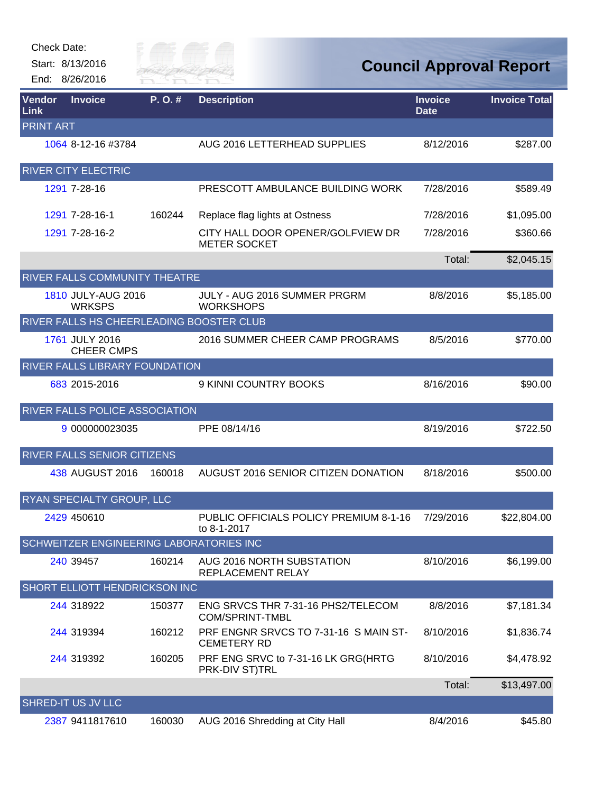| Check Date: |  |
|-------------|--|
|-------------|--|

Start: 8/13/2016 End: 8/26/2016



| Vendor<br><b>Link</b> | <b>Invoice</b>                           | P.O.#  | <b>Description</b>                                           | <b>Invoice</b><br><b>Date</b> | <b>Invoice Total</b> |
|-----------------------|------------------------------------------|--------|--------------------------------------------------------------|-------------------------------|----------------------|
| <b>PRINT ART</b>      |                                          |        |                                                              |                               |                      |
|                       | 1064 8-12-16 #3784                       |        | AUG 2016 LETTERHEAD SUPPLIES                                 | 8/12/2016                     | \$287.00             |
|                       | <b>RIVER CITY ELECTRIC</b>               |        |                                                              |                               |                      |
|                       | 1291 7-28-16                             |        | PRESCOTT AMBULANCE BUILDING WORK                             | 7/28/2016                     | \$589.49             |
|                       | 1291 7-28-16-1                           | 160244 | Replace flag lights at Ostness                               | 7/28/2016                     | \$1,095.00           |
|                       | 1291 7-28-16-2                           |        | CITY HALL DOOR OPENER/GOLFVIEW DR<br><b>METER SOCKET</b>     | 7/28/2016                     | \$360.66             |
|                       |                                          |        |                                                              | Total:                        | \$2,045.15           |
|                       | RIVER FALLS COMMUNITY THEATRE            |        |                                                              |                               |                      |
|                       | 1810 JULY-AUG 2016<br><b>WRKSPS</b>      |        | JULY - AUG 2016 SUMMER PRGRM<br><b>WORKSHOPS</b>             | 8/8/2016                      | \$5,185.00           |
|                       | RIVER FALLS HS CHEERLEADING BOOSTER CLUB |        |                                                              |                               |                      |
|                       | 1761 JULY 2016<br><b>CHEER CMPS</b>      |        | 2016 SUMMER CHEER CAMP PROGRAMS                              | 8/5/2016                      | \$770.00             |
|                       | <b>RIVER FALLS LIBRARY FOUNDATION</b>    |        |                                                              |                               |                      |
|                       | 683 2015-2016                            |        | 9 KINNI COUNTRY BOOKS                                        | 8/16/2016                     | \$90.00              |
|                       | <b>RIVER FALLS POLICE ASSOCIATION</b>    |        |                                                              |                               |                      |
|                       | 9 000000023035                           |        | PPE 08/14/16                                                 | 8/19/2016                     | \$722.50             |
|                       | <b>RIVER FALLS SENIOR CITIZENS</b>       |        |                                                              |                               |                      |
|                       | 438 AUGUST 2016                          | 160018 | AUGUST 2016 SENIOR CITIZEN DONATION                          | 8/18/2016                     | \$500.00             |
|                       | RYAN SPECIALTY GROUP, LLC                |        |                                                              |                               |                      |
|                       | 2429 450610                              |        | PUBLIC OFFICIALS POLICY PREMIUM 8-1-16<br>to 8-1-2017        | 7/29/2016                     | \$22,804.00          |
|                       | SCHWEITZER ENGINEERING LABORATORIES INC  |        |                                                              |                               |                      |
|                       | 240 39457                                | 160214 | AUG 2016 NORTH SUBSTATION<br>REPLACEMENT RELAY               | 8/10/2016                     | \$6,199.00           |
|                       | SHORT ELLIOTT HENDRICKSON INC            |        |                                                              |                               |                      |
|                       | 244 318922                               | 150377 | ENG SRVCS THR 7-31-16 PHS2/TELECOM<br><b>COM/SPRINT-TMBL</b> | 8/8/2016                      | \$7,181.34           |
|                       | 244 319394                               | 160212 | PRF ENGNR SRVCS TO 7-31-16 S MAIN ST-<br><b>CEMETERY RD</b>  | 8/10/2016                     | \$1,836.74           |
|                       | 244 319392                               | 160205 | PRF ENG SRVC to 7-31-16 LK GRG(HRTG<br>PRK-DIV ST)TRL        | 8/10/2016                     | \$4,478.92           |
|                       |                                          |        |                                                              | Total:                        | \$13,497.00          |
|                       | <b>SHRED-IT US JV LLC</b>                |        |                                                              |                               |                      |
|                       | 2387 9411817610                          | 160030 | AUG 2016 Shredding at City Hall                              | 8/4/2016                      | \$45.80              |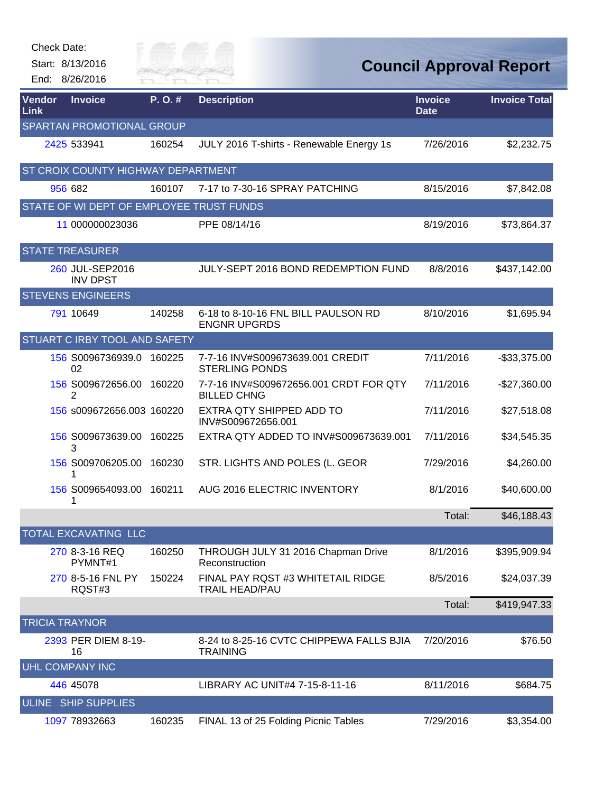| <b>Check Date:</b>    |                                          |                      |                                                              |                               |                                |
|-----------------------|------------------------------------------|----------------------|--------------------------------------------------------------|-------------------------------|--------------------------------|
|                       | Start: 8/13/2016<br>End: 8/26/2016       | City of<br>River Fai |                                                              |                               | <b>Council Approval Report</b> |
| <b>Vendor</b><br>Link | <b>Invoice</b>                           | P.O.#                | <b>Description</b>                                           | <b>Invoice</b><br><b>Date</b> | <b>Invoice Total</b>           |
|                       | SPARTAN PROMOTIONAL GROUP                |                      |                                                              |                               |                                |
|                       | 2425 533941                              | 160254               | JULY 2016 T-shirts - Renewable Energy 1s                     | 7/26/2016                     | \$2,232.75                     |
|                       | ST CROIX COUNTY HIGHWAY DEPARTMENT       |                      |                                                              |                               |                                |
|                       | 956 682                                  | 160107               | 7-17 to 7-30-16 SPRAY PATCHING                               | 8/15/2016                     | \$7,842.08                     |
|                       | STATE OF WI DEPT OF EMPLOYEE TRUST FUNDS |                      |                                                              |                               |                                |
|                       | 11 000000023036                          |                      | PPE 08/14/16                                                 | 8/19/2016                     | \$73,864.37                    |
|                       | <b>STATE TREASURER</b>                   |                      |                                                              |                               |                                |
|                       | 260 JUL-SEP2016<br><b>INV DPST</b>       |                      | JULY-SEPT 2016 BOND REDEMPTION FUND                          | 8/8/2016                      | \$437,142.00                   |
|                       | <b>STEVENS ENGINEERS</b>                 |                      |                                                              |                               |                                |
|                       | 791 10649                                | 140258               | 6-18 to 8-10-16 FNL BILL PAULSON RD<br><b>ENGNR UPGRDS</b>   | 8/10/2016                     | \$1,695.94                     |
|                       | STUART C IRBY TOOL AND SAFETY            |                      |                                                              |                               |                                |
|                       | 156 S0096736939.0 160225<br>02           |                      | 7-7-16 INV#S009673639.001 CREDIT<br><b>STERLING PONDS</b>    | 7/11/2016                     | $-$ \$33,375.00                |
|                       | 156 S009672656.00<br>2                   | 160220               | 7-7-16 INV#S009672656.001 CRDT FOR QTY<br><b>BILLED CHNG</b> | 7/11/2016                     | $-$27,360.00$                  |
|                       | 156 s009672656.003 160220                |                      | EXTRA QTY SHIPPED ADD TO<br>INV#S009672656.001               | 7/11/2016                     | \$27,518.08                    |
|                       | 156 S009673639.00<br>3                   | 160225               | EXTRA QTY ADDED TO INV#S009673639.001                        | 7/11/2016                     | \$34,545.35                    |
|                       | 156 S009706205.00                        | 160230               | STR. LIGHTS AND POLES (L. GEOR                               | 7/29/2016                     | \$4,260.00                     |
|                       | 1                                        |                      | 156 S009654093.00 160211 AUG 2016 ELECTRIC INVENTORY         | 8/1/2016                      | \$40,600.00                    |
|                       |                                          |                      |                                                              | Total:                        | \$46,188.43                    |
|                       | TOTAL EXCAVATING LLC                     |                      |                                                              |                               |                                |
|                       | 270 8-3-16 REQ<br>PYMNT#1                | 160250               | THROUGH JULY 31 2016 Chapman Drive<br>Reconstruction         | 8/1/2016                      | \$395,909.94                   |
|                       | 270 8-5-16 FNL PY<br>RQST#3              | 150224               | FINAL PAY RQST #3 WHITETAIL RIDGE<br><b>TRAIL HEAD/PAU</b>   | 8/5/2016                      | \$24,037.39                    |
|                       |                                          |                      |                                                              | Total:                        | \$419,947.33                   |
| <b>TRICIA TRAYNOR</b> |                                          |                      |                                                              |                               |                                |
|                       | 2393 PER DIEM 8-19-<br>16                |                      | 8-24 to 8-25-16 CVTC CHIPPEWA FALLS BJIA<br><b>TRAINING</b>  | 7/20/2016                     | \$76.50                        |
|                       | <b>UHL COMPANY INC</b>                   |                      |                                                              |                               |                                |
|                       | 446 45078                                |                      | LIBRARY AC UNIT#4 7-15-8-11-16                               | 8/11/2016                     | \$684.75                       |
| <b>ULINE</b>          | <b>SHIP SUPPLIES</b>                     |                      |                                                              |                               |                                |
|                       | 1097 78932663                            | 160235               | FINAL 13 of 25 Folding Picnic Tables                         | 7/29/2016                     | \$3,354.00                     |